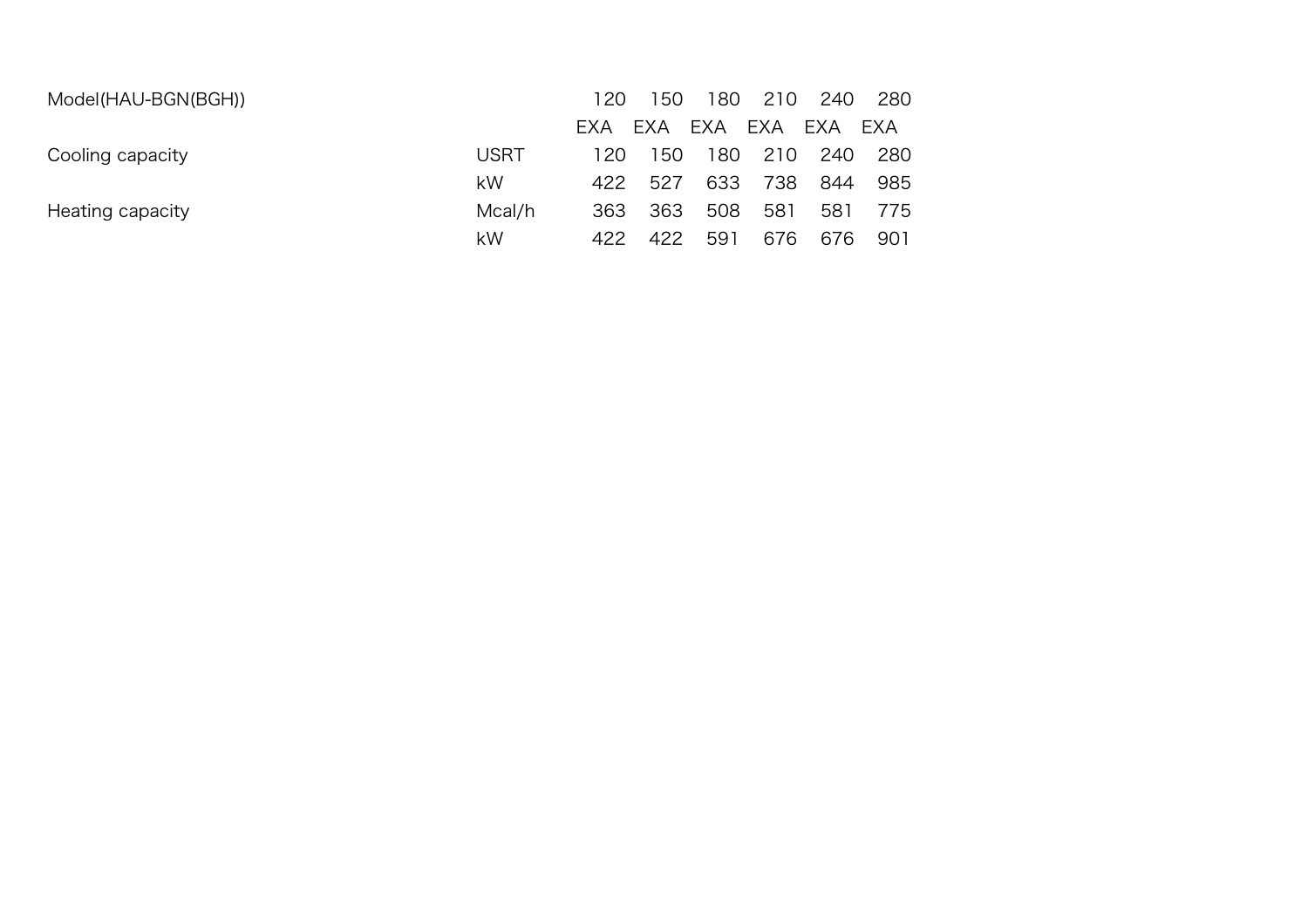| Model(HAU-BGN(BGH)) |             | 120        | 50        | 180 | 210 | 240 | 280 |
|---------------------|-------------|------------|-----------|-----|-----|-----|-----|
|                     |             | <b>FXA</b> | EXA       | EXA | EXA | EXA | EXA |
| Cooling capacity    | <b>USRT</b> | 120.       | <b>50</b> | 180 | 210 | 240 | 280 |
|                     | kW          | 422        | 527       | 633 | 738 | 844 | 985 |
| Heating capacity    | Mcal/h      | 363        | 363       | 508 | 581 | 581 | 775 |
|                     | kW          | 422        | 422       | 591 | 676 | 676 | 901 |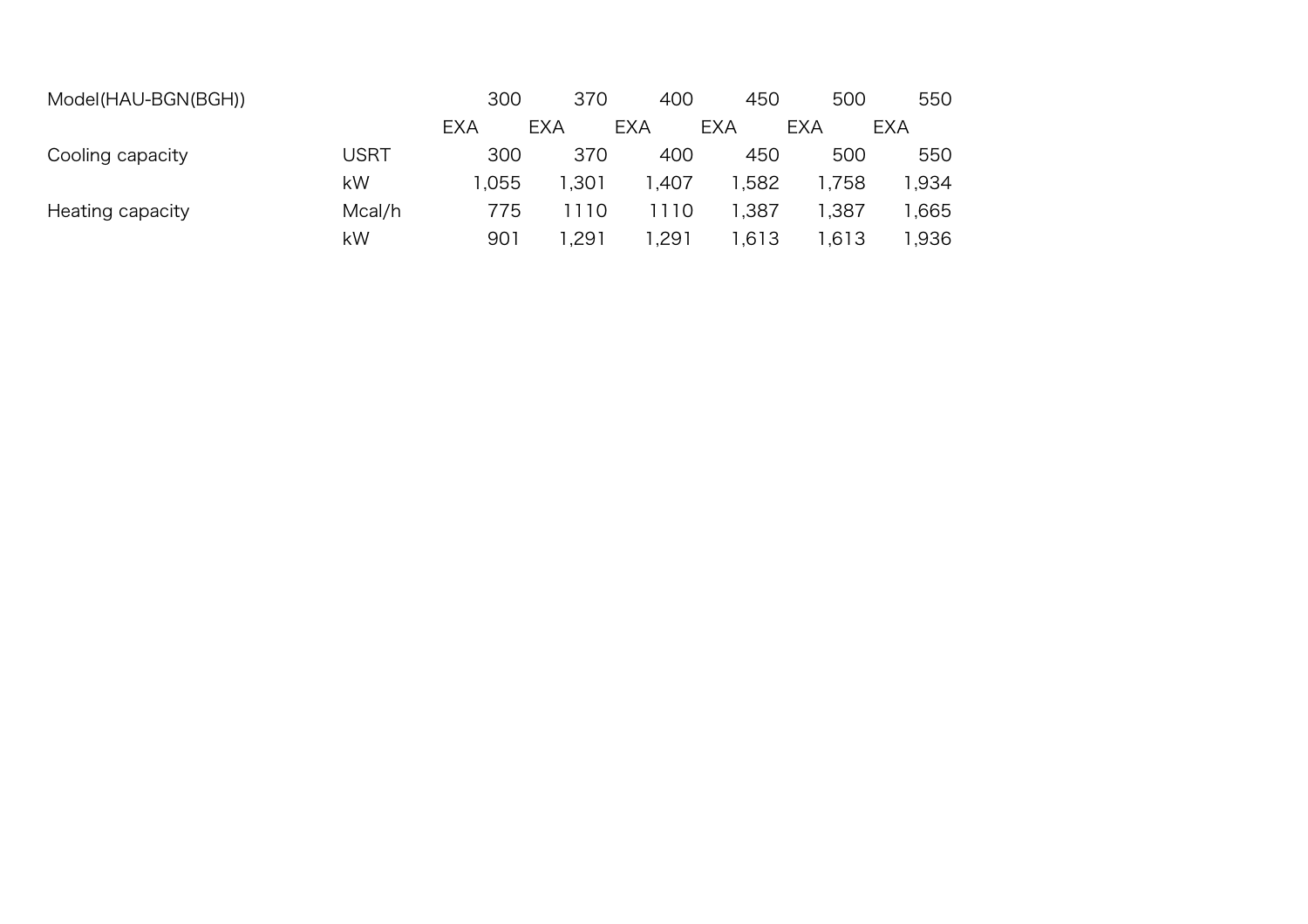| Model(HAU-BGN(BGH)) |        | 300        | 370        | 400        | 450   | 500        | 550        |
|---------------------|--------|------------|------------|------------|-------|------------|------------|
|                     |        | <b>EXA</b> | <b>EXA</b> | <b>EXA</b> | EXA   | <b>EXA</b> | <b>EXA</b> |
| Cooling capacity    | USRT   | 300        | 370        | 400        | 450   | 500        | 550        |
|                     | kW     | 1.055      | 1.301      | ,407       | 1,582 | 1,758      | 1.934      |
| Heating capacity    | Mcal/h | 775        | 1110       | 1110       | 1,387 | 387. ا     | .665       |
|                     | kW     | 901        | .291       | .291       | 1.613 | 1,613      | 1.936      |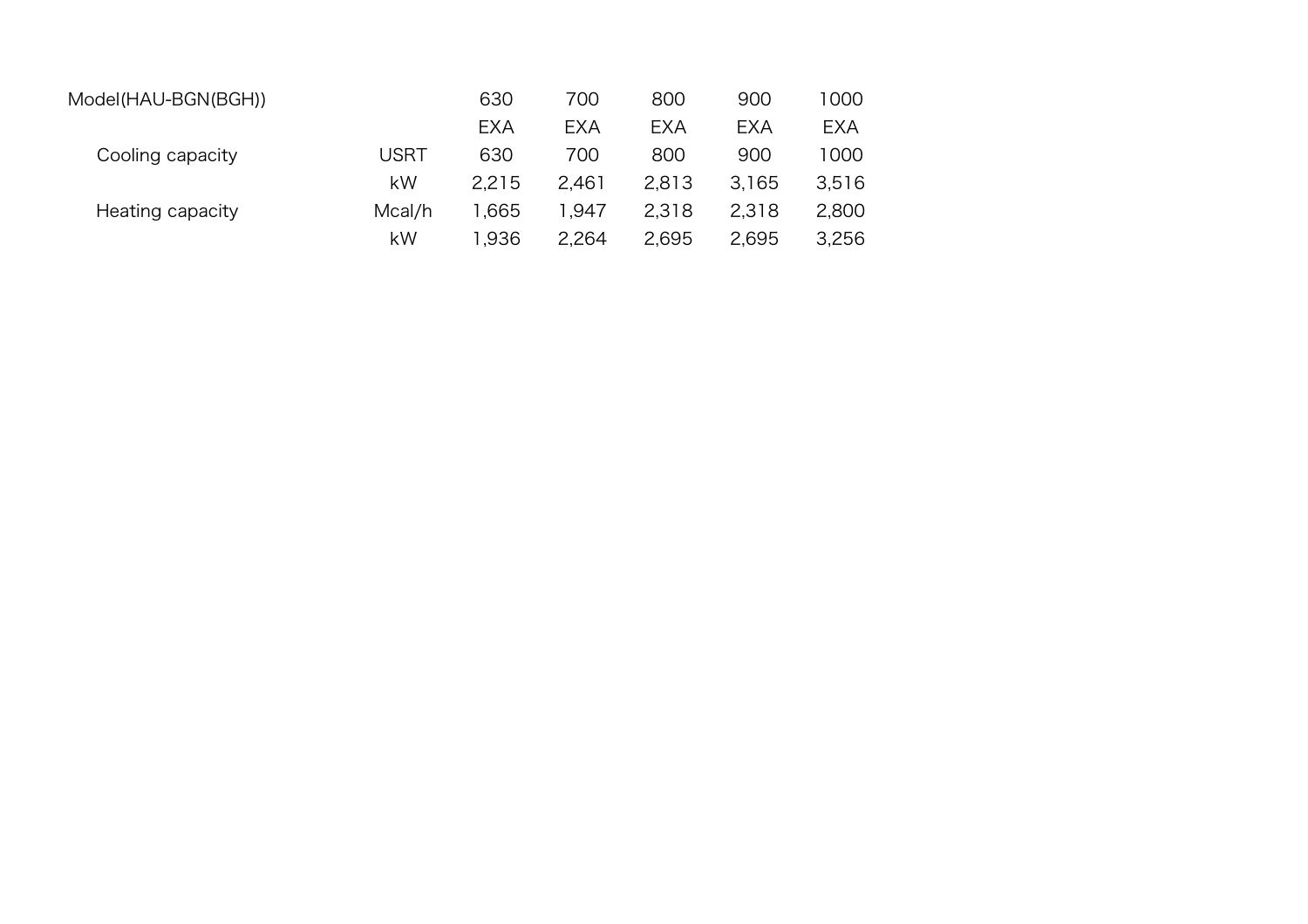| Model(HAU-BGN(BGH)) |             | 630        | 700        | 800        | 900   | 1000       |
|---------------------|-------------|------------|------------|------------|-------|------------|
|                     |             | <b>EXA</b> | <b>EXA</b> | <b>EXA</b> | EXA   | <b>EXA</b> |
| Cooling capacity    | <b>USRT</b> | 630        | 700        | 800        | 900   | 1000       |
|                     | kW          | 2.215      | 2.461      | 2.813      | 3.165 | 3,516      |
| Heating capacity    | Mcal/h      | 1.665      | 947. ا     | 2.318      | 2.318 | 2,800      |
|                     | kW          | 1.936      | 2.264      | 2,695      | 2,695 | 3,256      |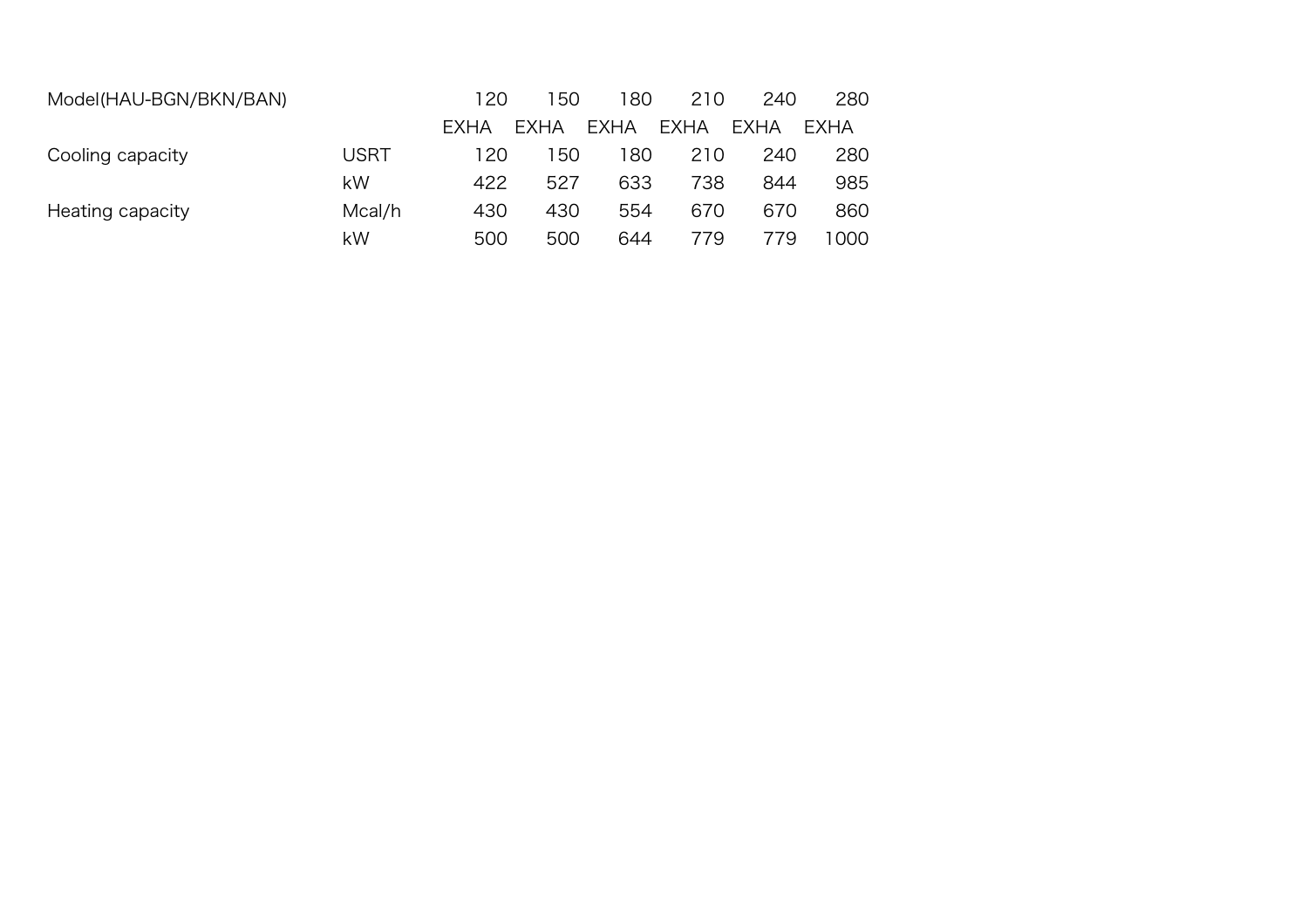| Model(HAU-BGN/BKN/BAN) |        | 120         | 150         | 180         | 210         | 240         | 280  |
|------------------------|--------|-------------|-------------|-------------|-------------|-------------|------|
|                        |        | <b>FXHA</b> | <b>EXHA</b> | <b>EXHA</b> | <b>EXHA</b> | <b>EXHA</b> | EXHA |
| Cooling capacity       | USRT   | 120         | -50         | 180         | 210         | 240         | 280  |
|                        | kW     | 422         | 527         | 633         | 738         | 844         | 985  |
| Heating capacity       | Mcal/h | 430         | 430         | 554         | 670         | 670         | 860  |
|                        | kW     | 500         | 500         | 644         | 779         | 779         | 1000 |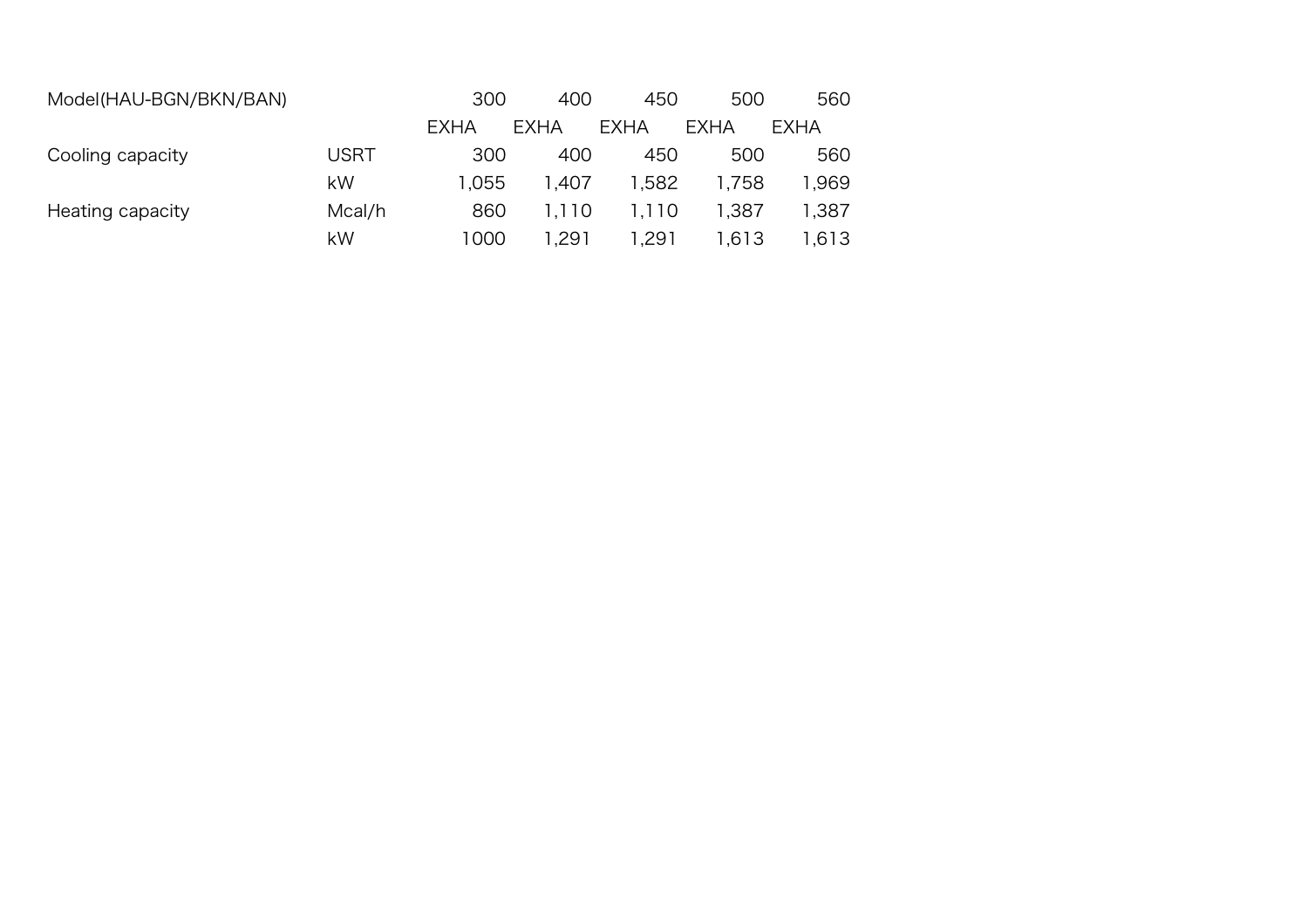| Model(HAU-BGN/BKN/BAN) |             | 300   | 400   | 450    | 500   | 560    |
|------------------------|-------------|-------|-------|--------|-------|--------|
|                        |             | EXHA  | EXHA  | EXHA   | EXHA  | EXHA   |
| Cooling capacity       | <b>USRT</b> | 300   | 400   | 450    | 500   | 560    |
|                        | kW          | 1.055 | 1.407 | 1,582  | 1.758 | 969. ا |
| Heating capacity       | Mcal/h      | 860   | 1.110 | 1.110  | 1,387 | 1,387  |
|                        | kW          | 1000  | .291  | 291. ا | 1.613 | 1.613  |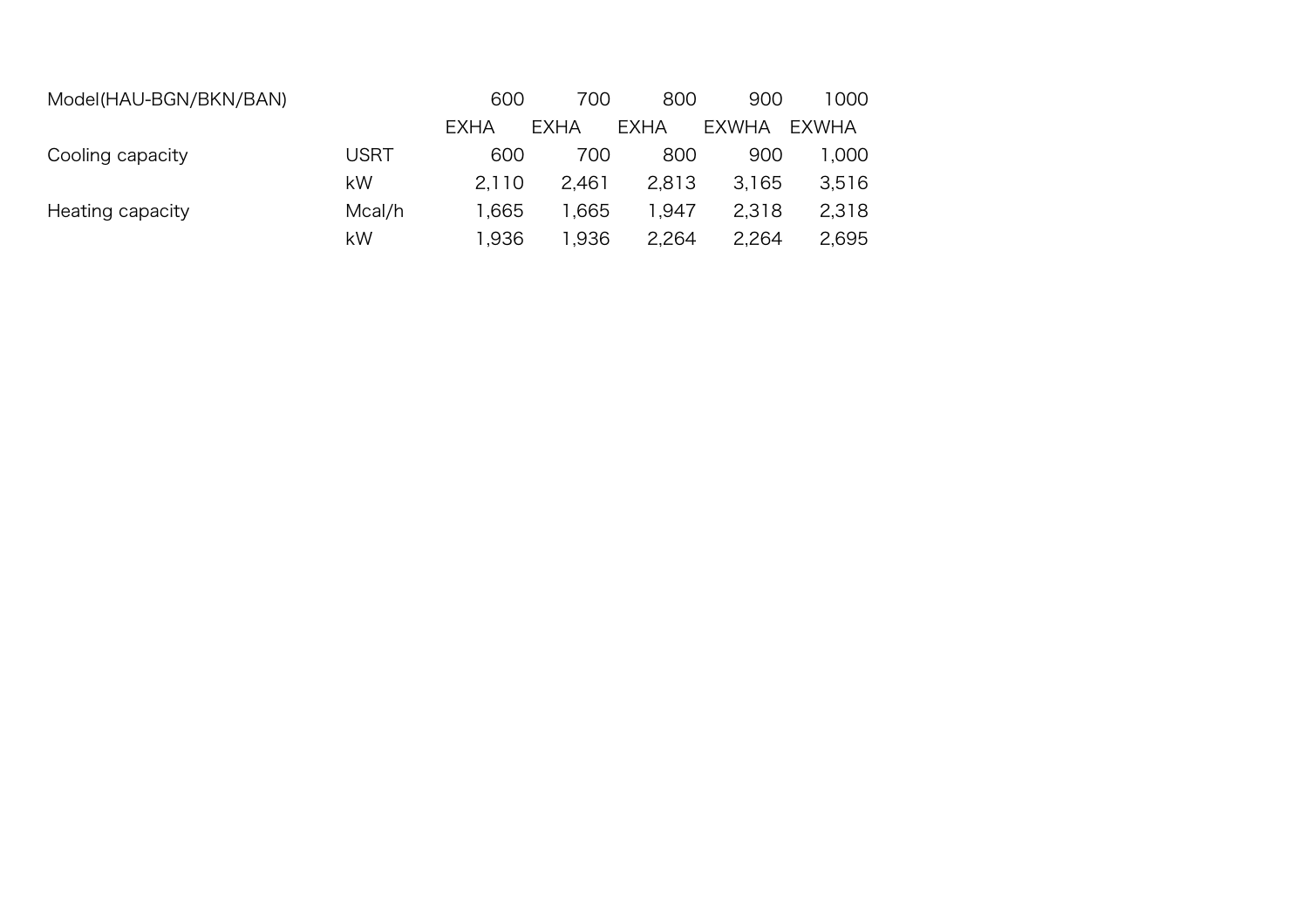| Model(HAU-BGN/BKN/BAN) |        | 600         | 700   | 800   | 900          | 1000   |
|------------------------|--------|-------------|-------|-------|--------------|--------|
|                        |        | <b>EXHA</b> | EXHA  | EXHA  | <b>EXWHA</b> | EXWHA  |
| Cooling capacity       | USRT   | 600         | 700   | 800   | 900          | 000. ا |
|                        | kW     | 2.110       | 2.461 | 2,813 | 3.165        | 3,516  |
| Heating capacity       | Mcal/h | 1.665       | .665  | 1.947 | 2.318        | 2,318  |
|                        | kW     | 1.936       | 1,936 | 2.264 | 2,264        | 2,695  |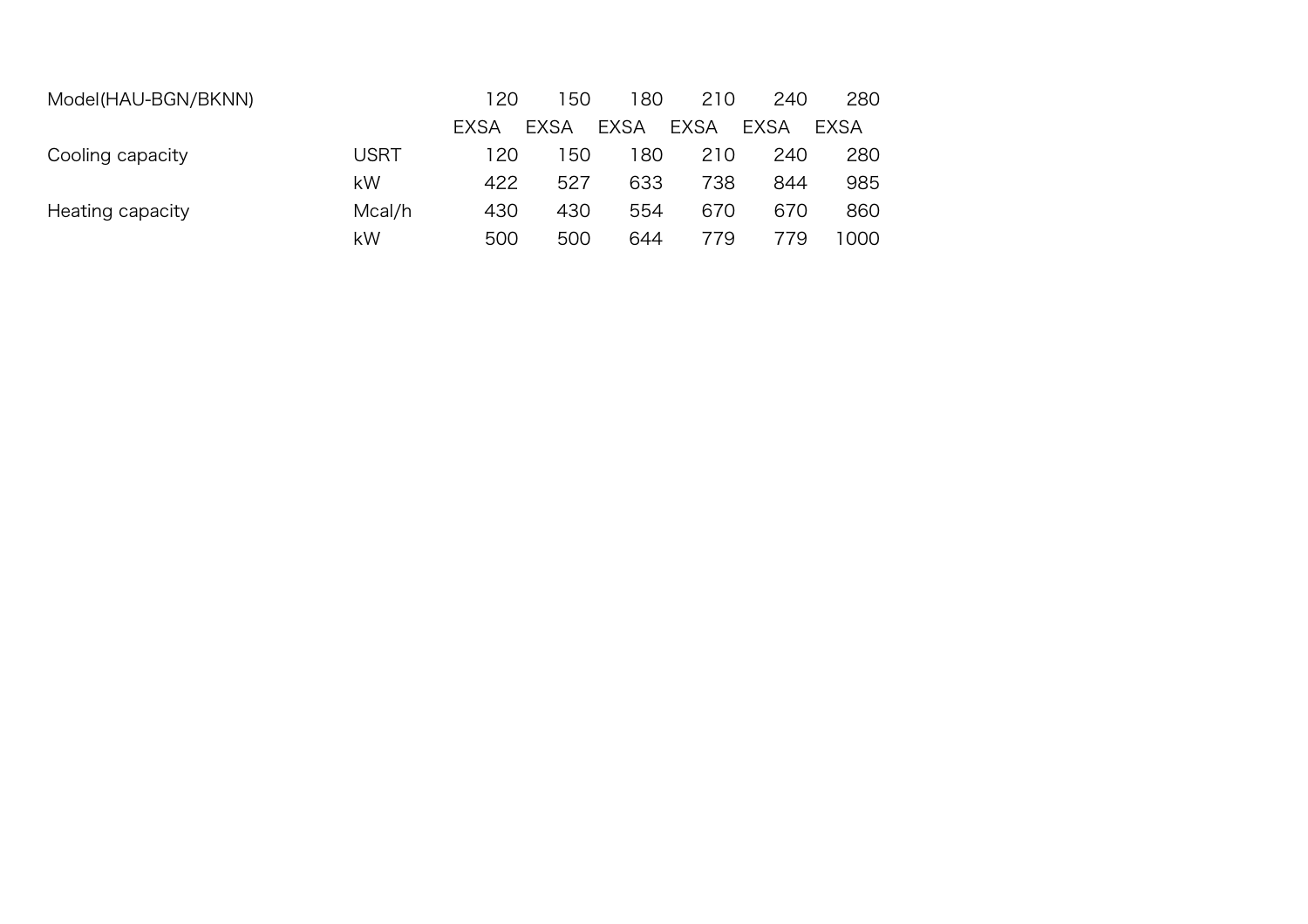| Model(HAU-BGN/BKNN) |        | 120  | 150         | 180         | 210         | 240         | 280  |
|---------------------|--------|------|-------------|-------------|-------------|-------------|------|
|                     |        | EXSA | <b>EXSA</b> | <b>EXSA</b> | <b>EXSA</b> | <b>EXSA</b> | EXSA |
| Cooling capacity    | USRT   | 120  | 150         | 180         | 210         | 240         | 280  |
|                     | kW     | 422  | 527         | 633         | 738         | 844         | 985  |
| Heating capacity    | Mcal/h | 430  | 430         | 554         | 670         | 670         | 860  |
|                     | kW     | 500  | 500         | 644         | 779         | 779         | 1000 |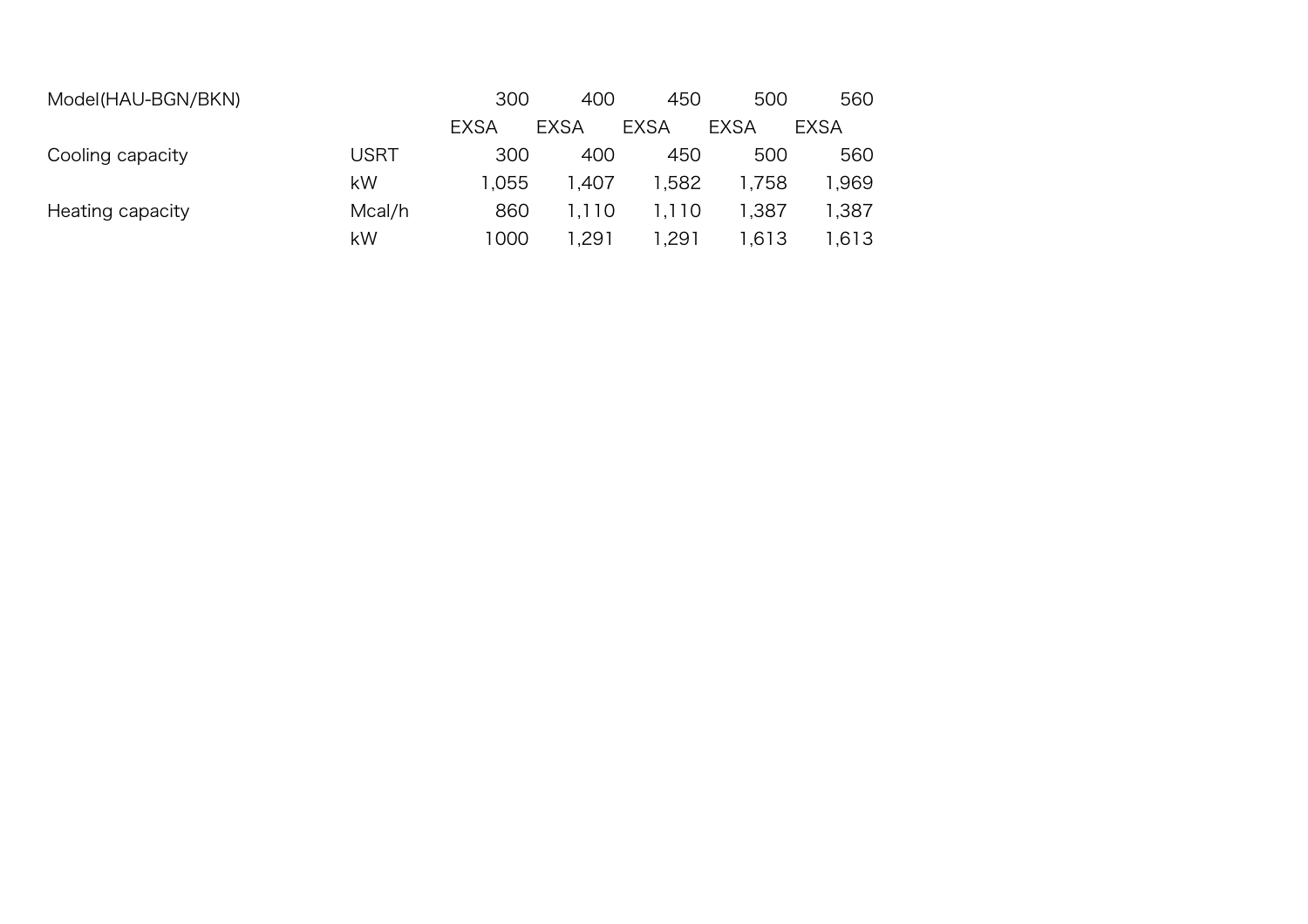| Model(HAU-BGN/BKN) |             | 300         | 400         | 450         | 500         | 560    |
|--------------------|-------------|-------------|-------------|-------------|-------------|--------|
|                    |             | <b>EXSA</b> | <b>EXSA</b> | <b>EXSA</b> | <b>EXSA</b> | EXSA   |
| Cooling capacity   | <b>USRT</b> | 300         | 400         | 450         | 500         | 560    |
|                    | kW          | 1.055       | 1.407       | 1.582       | 1.758       | 969, ا |
| Heating capacity   | Mcal/h      | 860         | 1.110       | 1,110       | 1.387       | 1,387  |
|                    | kW          | 1000        | 1,291       | 1.291       | 1.613       | 1.613  |